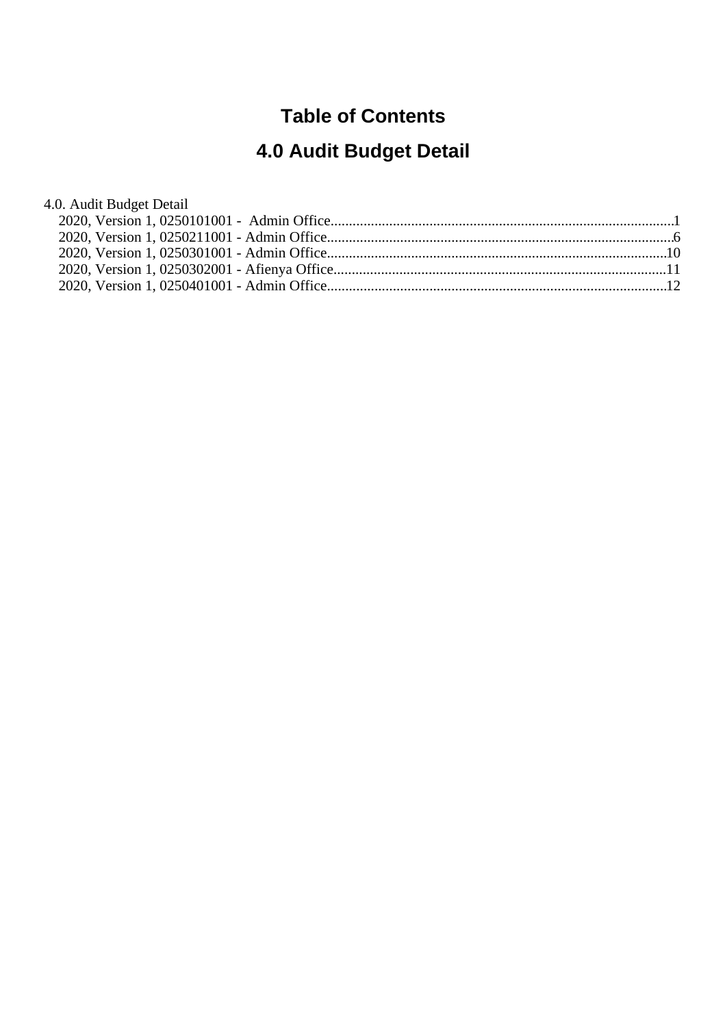#### **Table of Contents**

# **4.0 Audit Budget Detail**

| 4.0. Audit Budget Detail |  |
|--------------------------|--|
|                          |  |
|                          |  |
|                          |  |
|                          |  |
|                          |  |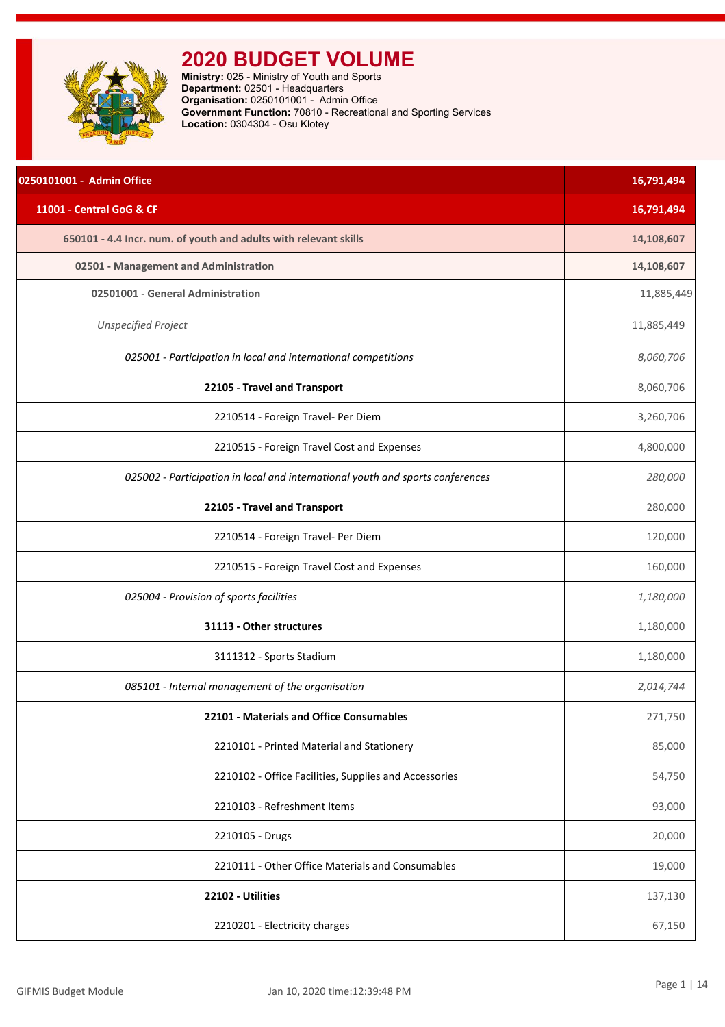<span id="page-1-0"></span>

| 0250101001 - Admin Office                                                      | 16,791,494 |
|--------------------------------------------------------------------------------|------------|
| 11001 - Central GoG & CF                                                       | 16,791,494 |
| 650101 - 4.4 Incr. num. of youth and adults with relevant skills               | 14,108,607 |
| 02501 - Management and Administration                                          | 14,108,607 |
| 02501001 - General Administration                                              | 11,885,449 |
| <b>Unspecified Project</b>                                                     | 11,885,449 |
| 025001 - Participation in local and international competitions                 | 8,060,706  |
| 22105 - Travel and Transport                                                   | 8,060,706  |
| 2210514 - Foreign Travel- Per Diem                                             | 3,260,706  |
| 2210515 - Foreign Travel Cost and Expenses                                     | 4,800,000  |
| 025002 - Participation in local and international youth and sports conferences | 280,000    |
| 22105 - Travel and Transport                                                   | 280,000    |
| 2210514 - Foreign Travel- Per Diem                                             | 120,000    |
| 2210515 - Foreign Travel Cost and Expenses                                     | 160,000    |
| 025004 - Provision of sports facilities                                        | 1,180,000  |
| 31113 - Other structures                                                       | 1,180,000  |
| 3111312 - Sports Stadium                                                       | 1,180,000  |
| 085101 - Internal management of the organisation                               | 2,014,744  |
| 22101 - Materials and Office Consumables                                       | 271,750    |
| 2210101 - Printed Material and Stationery                                      | 85,000     |
| 2210102 - Office Facilities, Supplies and Accessories                          | 54,750     |
| 2210103 - Refreshment Items                                                    | 93,000     |
| 2210105 - Drugs                                                                | 20,000     |
| 2210111 - Other Office Materials and Consumables                               | 19,000     |
| 22102 - Utilities                                                              | 137,130    |
| 2210201 - Electricity charges                                                  | 67,150     |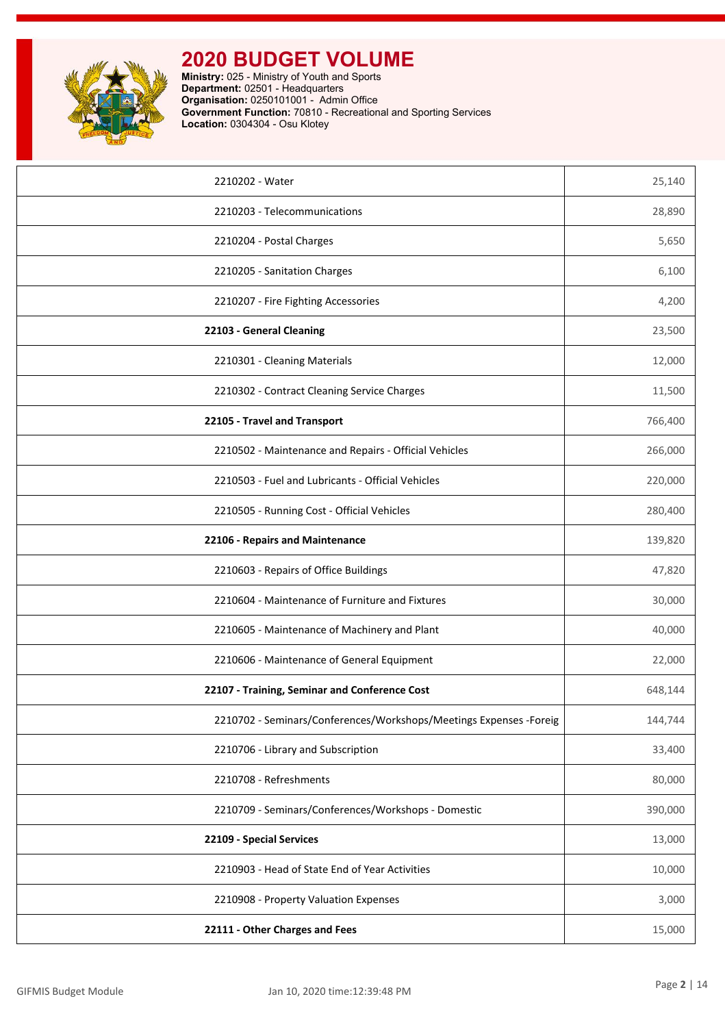

| 2210202 - Water                                                    | 25,140  |
|--------------------------------------------------------------------|---------|
| 2210203 - Telecommunications                                       | 28,890  |
| 2210204 - Postal Charges                                           | 5,650   |
| 2210205 - Sanitation Charges                                       | 6,100   |
| 2210207 - Fire Fighting Accessories                                | 4,200   |
| 22103 - General Cleaning                                           | 23,500  |
| 2210301 - Cleaning Materials                                       | 12,000  |
| 2210302 - Contract Cleaning Service Charges                        | 11,500  |
| 22105 - Travel and Transport                                       | 766,400 |
| 2210502 - Maintenance and Repairs - Official Vehicles              | 266,000 |
| 2210503 - Fuel and Lubricants - Official Vehicles                  | 220,000 |
| 2210505 - Running Cost - Official Vehicles                         | 280,400 |
| 22106 - Repairs and Maintenance                                    | 139,820 |
| 2210603 - Repairs of Office Buildings                              | 47,820  |
| 2210604 - Maintenance of Furniture and Fixtures                    | 30,000  |
| 2210605 - Maintenance of Machinery and Plant                       | 40,000  |
| 2210606 - Maintenance of General Equipment                         | 22,000  |
| 22107 - Training, Seminar and Conference Cost                      | 648,144 |
| 2210702 - Seminars/Conferences/Workshops/Meetings Expenses -Foreig | 144,744 |
| 2210706 - Library and Subscription                                 | 33,400  |
| 2210708 - Refreshments                                             | 80,000  |
| 2210709 - Seminars/Conferences/Workshops - Domestic                | 390,000 |
| 22109 - Special Services                                           | 13,000  |
| 2210903 - Head of State End of Year Activities                     | 10,000  |
| 2210908 - Property Valuation Expenses                              | 3,000   |
| 22111 - Other Charges and Fees                                     | 15,000  |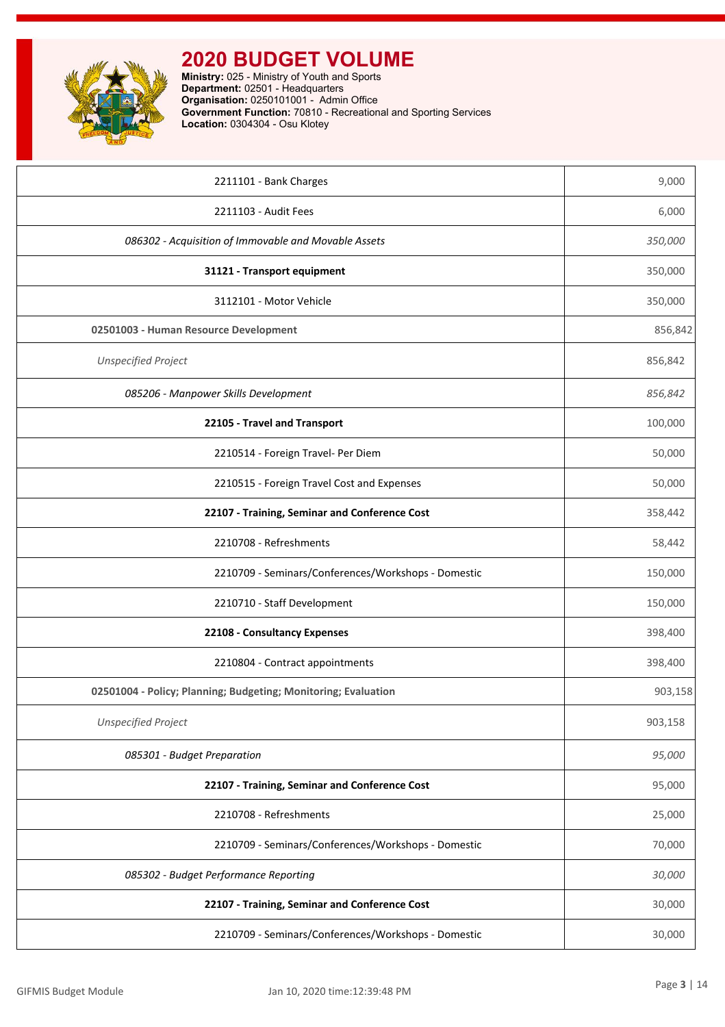| 2211101 - Bank Charges                                         | 9,000   |
|----------------------------------------------------------------|---------|
| 2211103 - Audit Fees                                           | 6,000   |
| 086302 - Acquisition of Immovable and Movable Assets           | 350,000 |
| 31121 - Transport equipment                                    | 350,000 |
| 3112101 - Motor Vehicle                                        | 350,000 |
| 02501003 - Human Resource Development                          | 856,842 |
| <b>Unspecified Project</b>                                     | 856,842 |
| 085206 - Manpower Skills Development                           | 856,842 |
| 22105 - Travel and Transport                                   | 100,000 |
| 2210514 - Foreign Travel- Per Diem                             | 50,000  |
| 2210515 - Foreign Travel Cost and Expenses                     | 50,000  |
| 22107 - Training, Seminar and Conference Cost                  | 358,442 |
| 2210708 - Refreshments                                         | 58,442  |
| 2210709 - Seminars/Conferences/Workshops - Domestic            | 150,000 |
| 2210710 - Staff Development                                    | 150,000 |
| 22108 - Consultancy Expenses                                   | 398,400 |
| 2210804 - Contract appointments                                | 398,400 |
| 02501004 - Policy; Planning; Budgeting; Monitoring; Evaluation | 903,158 |
| <b>Unspecified Project</b>                                     | 903,158 |
| 085301 - Budget Preparation                                    | 95,000  |
| 22107 - Training, Seminar and Conference Cost                  | 95,000  |
| 2210708 - Refreshments                                         | 25,000  |
| 2210709 - Seminars/Conferences/Workshops - Domestic            | 70,000  |
| 085302 - Budget Performance Reporting                          | 30,000  |
| 22107 - Training, Seminar and Conference Cost                  | 30,000  |
| 2210709 - Seminars/Conferences/Workshops - Domestic            | 30,000  |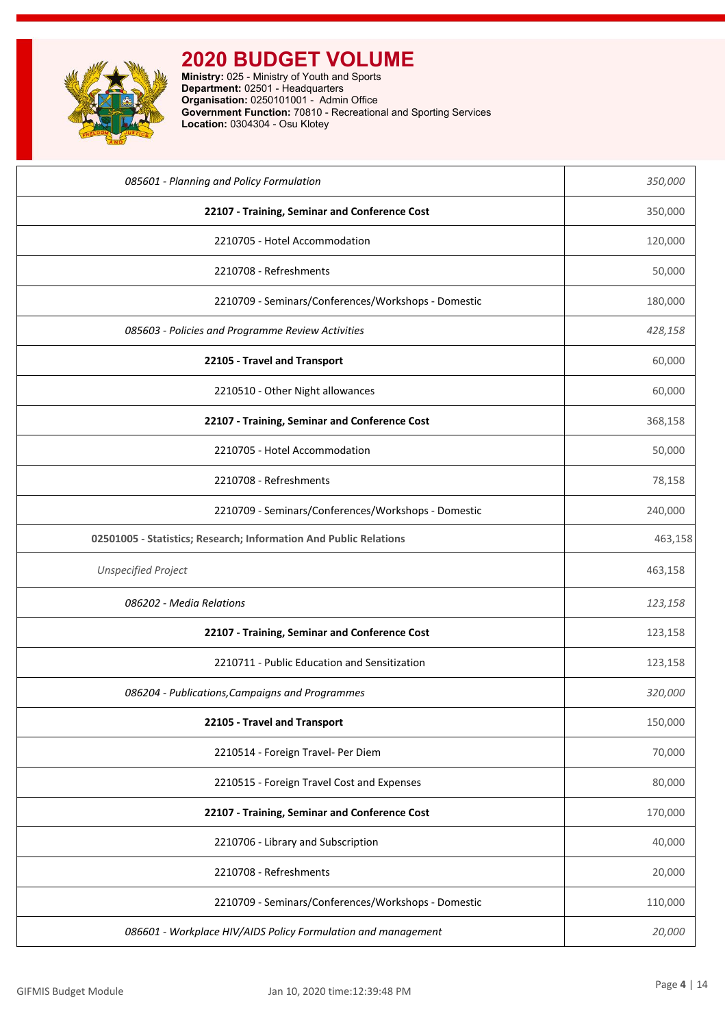

| 085601 - Planning and Policy Formulation                          | 350,000 |
|-------------------------------------------------------------------|---------|
| 22107 - Training, Seminar and Conference Cost                     | 350,000 |
| 2210705 - Hotel Accommodation                                     | 120,000 |
| 2210708 - Refreshments                                            | 50,000  |
| 2210709 - Seminars/Conferences/Workshops - Domestic               | 180,000 |
| 085603 - Policies and Programme Review Activities                 | 428,158 |
| 22105 - Travel and Transport                                      | 60,000  |
| 2210510 - Other Night allowances                                  | 60,000  |
| 22107 - Training, Seminar and Conference Cost                     | 368,158 |
| 2210705 - Hotel Accommodation                                     | 50,000  |
| 2210708 - Refreshments                                            | 78,158  |
| 2210709 - Seminars/Conferences/Workshops - Domestic               | 240,000 |
| 02501005 - Statistics; Research; Information And Public Relations | 463,158 |
| <b>Unspecified Project</b>                                        | 463,158 |
| 086202 - Media Relations                                          | 123,158 |
| 22107 - Training, Seminar and Conference Cost                     | 123,158 |
| 2210711 - Public Education and Sensitization                      | 123,158 |
| 086204 - Publications, Campaigns and Programmes                   | 320,000 |
| 22105 - Travel and Transport                                      | 150,000 |
| 2210514 - Foreign Travel- Per Diem                                | 70,000  |
| 2210515 - Foreign Travel Cost and Expenses                        | 80,000  |
| 22107 - Training, Seminar and Conference Cost                     | 170,000 |
| 2210706 - Library and Subscription                                | 40,000  |
| 2210708 - Refreshments                                            | 20,000  |
| 2210709 - Seminars/Conferences/Workshops - Domestic               | 110,000 |
| 086601 - Workplace HIV/AIDS Policy Formulation and management     | 20,000  |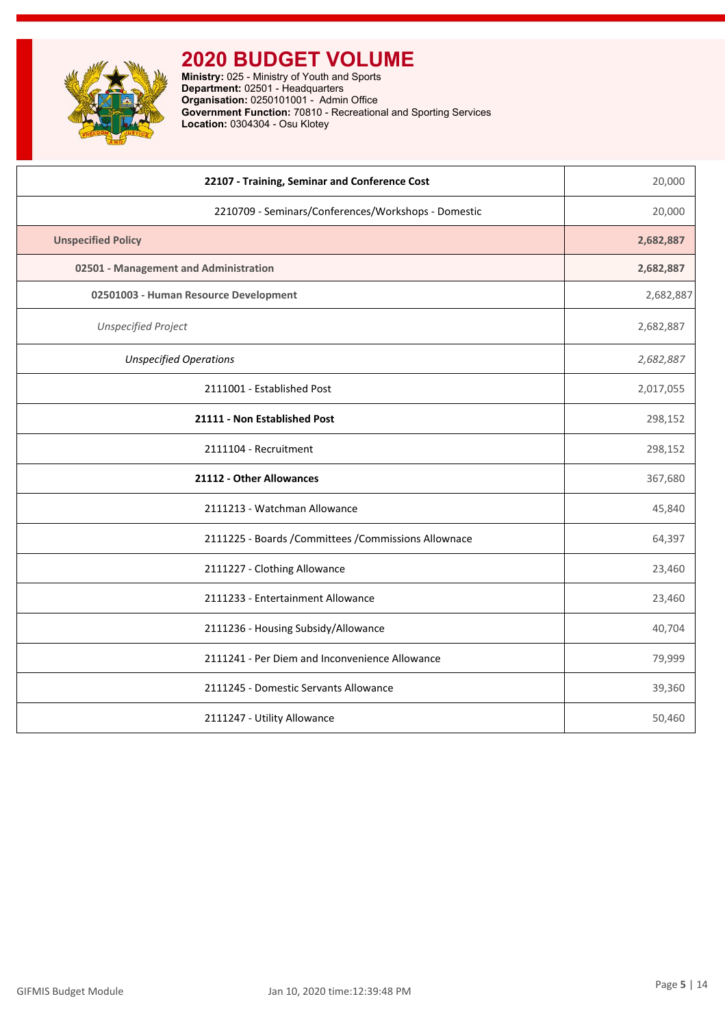

| 22107 - Training, Seminar and Conference Cost         | 20,000    |
|-------------------------------------------------------|-----------|
| 2210709 - Seminars/Conferences/Workshops - Domestic   | 20,000    |
| <b>Unspecified Policy</b>                             | 2,682,887 |
| 02501 - Management and Administration                 | 2,682,887 |
| 02501003 - Human Resource Development                 | 2,682,887 |
| <b>Unspecified Project</b>                            | 2,682,887 |
| <b>Unspecified Operations</b>                         | 2,682,887 |
| 2111001 - Established Post                            | 2,017,055 |
| 21111 - Non Established Post                          | 298,152   |
| 2111104 - Recruitment                                 | 298,152   |
| 21112 - Other Allowances                              | 367,680   |
| 2111213 - Watchman Allowance                          | 45,840    |
| 2111225 - Boards / Committees / Commissions Allownace | 64,397    |
| 2111227 - Clothing Allowance                          | 23,460    |
| 2111233 - Entertainment Allowance                     | 23,460    |
| 2111236 - Housing Subsidy/Allowance                   | 40,704    |
| 2111241 - Per Diem and Inconvenience Allowance        | 79,999    |
| 2111245 - Domestic Servants Allowance                 | 39,360    |
| 2111247 - Utility Allowance                           | 50,460    |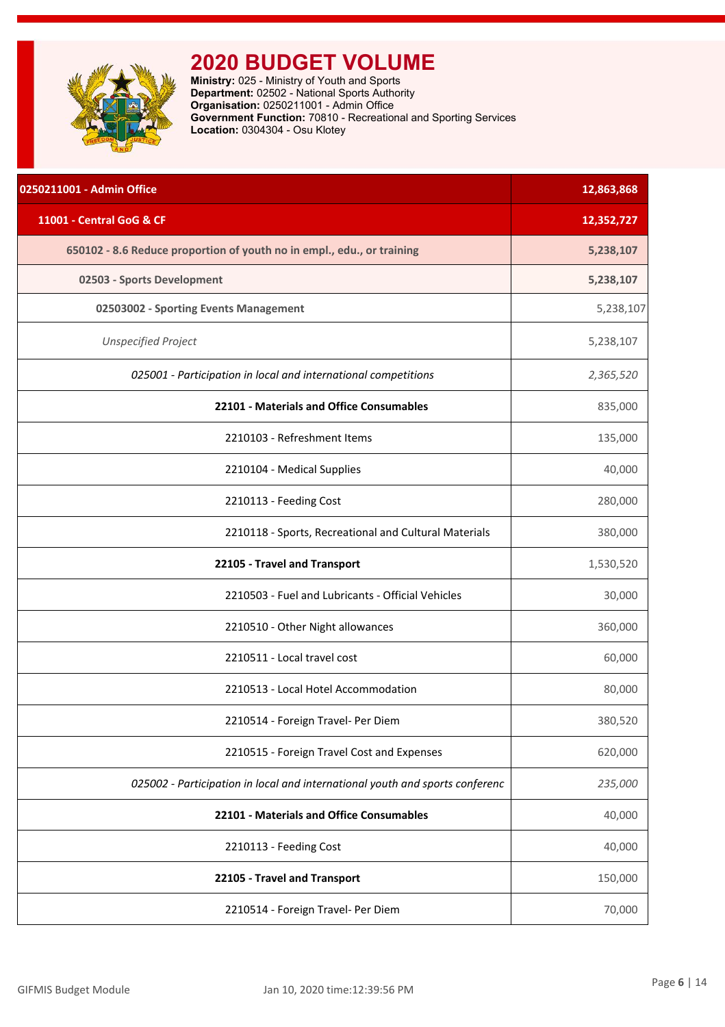<span id="page-6-0"></span>

| 0250211001 - Admin Office                                                    | 12,863,868 |
|------------------------------------------------------------------------------|------------|
| 11001 - Central GoG & CF                                                     | 12,352,727 |
| 650102 - 8.6 Reduce proportion of youth no in empl., edu., or training       | 5,238,107  |
| 02503 - Sports Development                                                   | 5,238,107  |
| 02503002 - Sporting Events Management                                        | 5,238,107  |
| <b>Unspecified Project</b>                                                   | 5,238,107  |
| 025001 - Participation in local and international competitions               | 2,365,520  |
| 22101 - Materials and Office Consumables                                     | 835,000    |
| 2210103 - Refreshment Items                                                  | 135,000    |
| 2210104 - Medical Supplies                                                   | 40,000     |
| 2210113 - Feeding Cost                                                       | 280,000    |
| 2210118 - Sports, Recreational and Cultural Materials                        | 380,000    |
| 22105 - Travel and Transport                                                 | 1,530,520  |
| 2210503 - Fuel and Lubricants - Official Vehicles                            | 30,000     |
| 2210510 - Other Night allowances                                             | 360,000    |
| 2210511 - Local travel cost                                                  | 60,000     |
| 2210513 - Local Hotel Accommodation                                          | 80,000     |
| 2210514 - Foreign Travel- Per Diem                                           | 380,520    |
| 2210515 - Foreign Travel Cost and Expenses                                   | 620,000    |
| 025002 - Participation in local and international youth and sports conferenc | 235,000    |
| 22101 - Materials and Office Consumables                                     | 40,000     |
| 2210113 - Feeding Cost                                                       | 40,000     |
| 22105 - Travel and Transport                                                 | 150,000    |
| 2210514 - Foreign Travel- Per Diem                                           | 70,000     |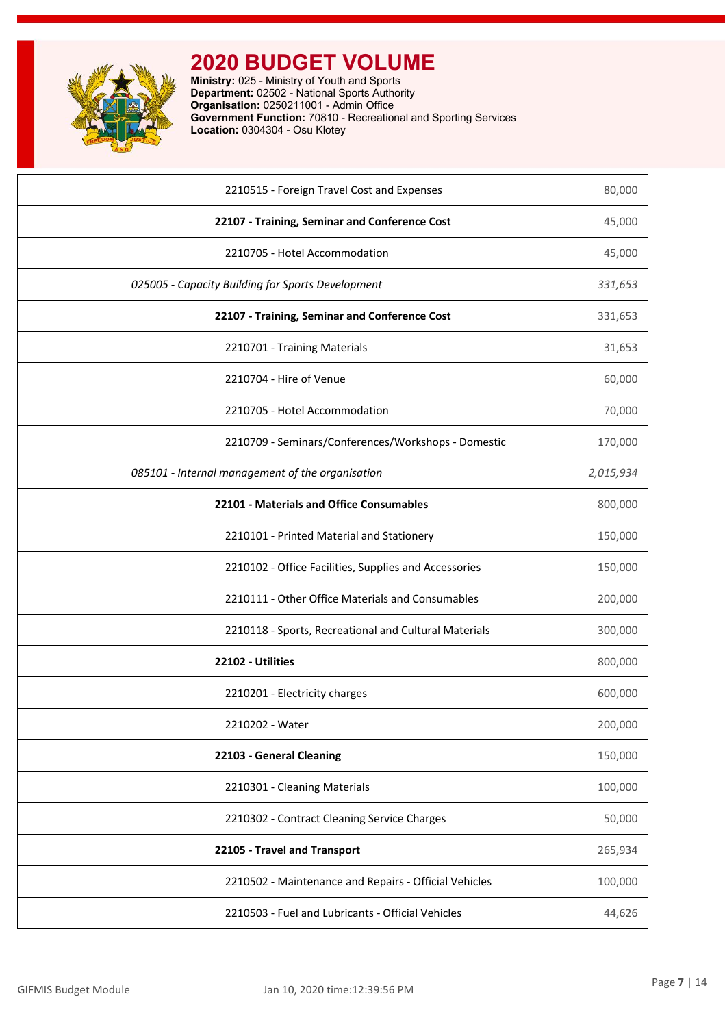

| 2210515 - Foreign Travel Cost and Expenses            | 80,000    |
|-------------------------------------------------------|-----------|
| 22107 - Training, Seminar and Conference Cost         | 45,000    |
| 2210705 - Hotel Accommodation                         | 45,000    |
| 025005 - Capacity Building for Sports Development     | 331,653   |
| 22107 - Training, Seminar and Conference Cost         | 331,653   |
| 2210701 - Training Materials                          | 31,653    |
| 2210704 - Hire of Venue                               | 60,000    |
| 2210705 - Hotel Accommodation                         | 70,000    |
| 2210709 - Seminars/Conferences/Workshops - Domestic   | 170,000   |
| 085101 - Internal management of the organisation      | 2,015,934 |
| 22101 - Materials and Office Consumables              | 800,000   |
| 2210101 - Printed Material and Stationery             | 150,000   |
| 2210102 - Office Facilities, Supplies and Accessories | 150,000   |
| 2210111 - Other Office Materials and Consumables      | 200,000   |
| 2210118 - Sports, Recreational and Cultural Materials | 300,000   |
| 22102 - Utilities                                     | 800,000   |
| 2210201 - Electricity charges                         | 600,000   |
| 2210202 - Water                                       | 200,000   |
| 22103 - General Cleaning                              | 150,000   |
| 2210301 - Cleaning Materials                          | 100,000   |
| 2210302 - Contract Cleaning Service Charges           | 50,000    |
| 22105 - Travel and Transport                          | 265,934   |
| 2210502 - Maintenance and Repairs - Official Vehicles | 100,000   |
| 2210503 - Fuel and Lubricants - Official Vehicles     | 44,626    |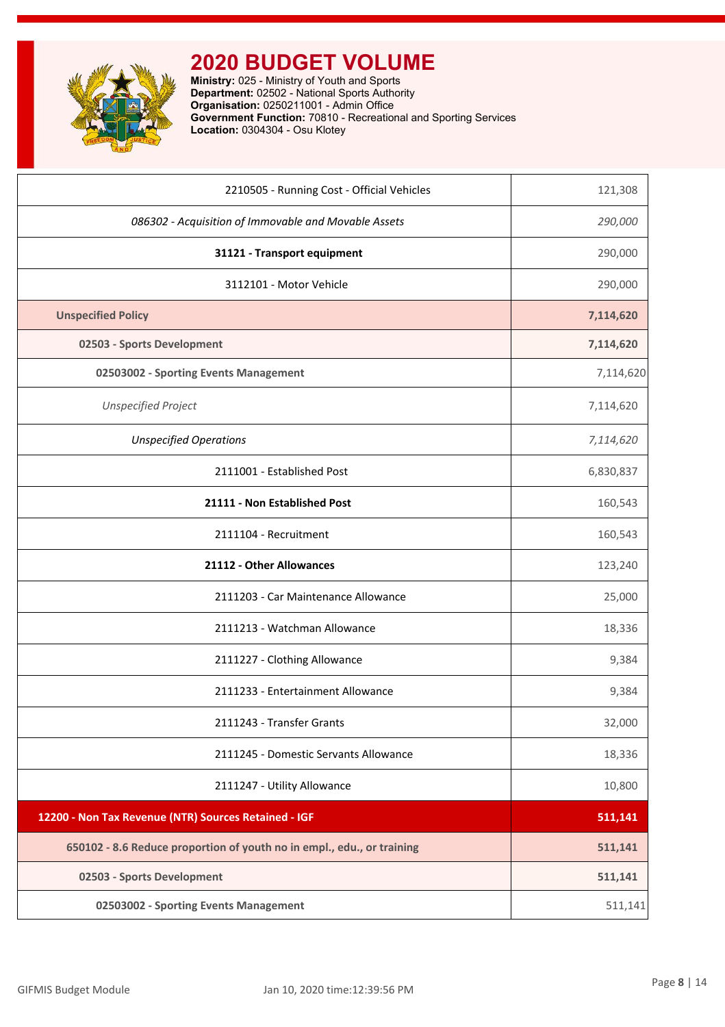

| 2210505 - Running Cost - Official Vehicles                             | 121,308   |
|------------------------------------------------------------------------|-----------|
| 086302 - Acquisition of Immovable and Movable Assets                   | 290,000   |
| 31121 - Transport equipment                                            | 290,000   |
| 3112101 - Motor Vehicle                                                | 290,000   |
| <b>Unspecified Policy</b>                                              | 7,114,620 |
| 02503 - Sports Development                                             | 7,114,620 |
| 02503002 - Sporting Events Management                                  | 7,114,620 |
| <b>Unspecified Project</b>                                             | 7,114,620 |
| <b>Unspecified Operations</b>                                          | 7,114,620 |
| 2111001 - Established Post                                             | 6,830,837 |
| 21111 - Non Established Post                                           | 160,543   |
| 2111104 - Recruitment                                                  | 160,543   |
| 21112 - Other Allowances                                               | 123,240   |
| 2111203 - Car Maintenance Allowance                                    | 25,000    |
| 2111213 - Watchman Allowance                                           | 18,336    |
| 2111227 - Clothing Allowance                                           | 9,384     |
| 2111233 - Entertainment Allowance                                      | 9,384     |
| 2111243 - Transfer Grants                                              | 32,000    |
| 2111245 - Domestic Servants Allowance                                  | 18,336    |
| 2111247 - Utility Allowance                                            | 10,800    |
| 12200 - Non Tax Revenue (NTR) Sources Retained - IGF                   | 511,141   |
| 650102 - 8.6 Reduce proportion of youth no in empl., edu., or training | 511,141   |
| 02503 - Sports Development                                             | 511,141   |
| 02503002 - Sporting Events Management                                  | 511,141   |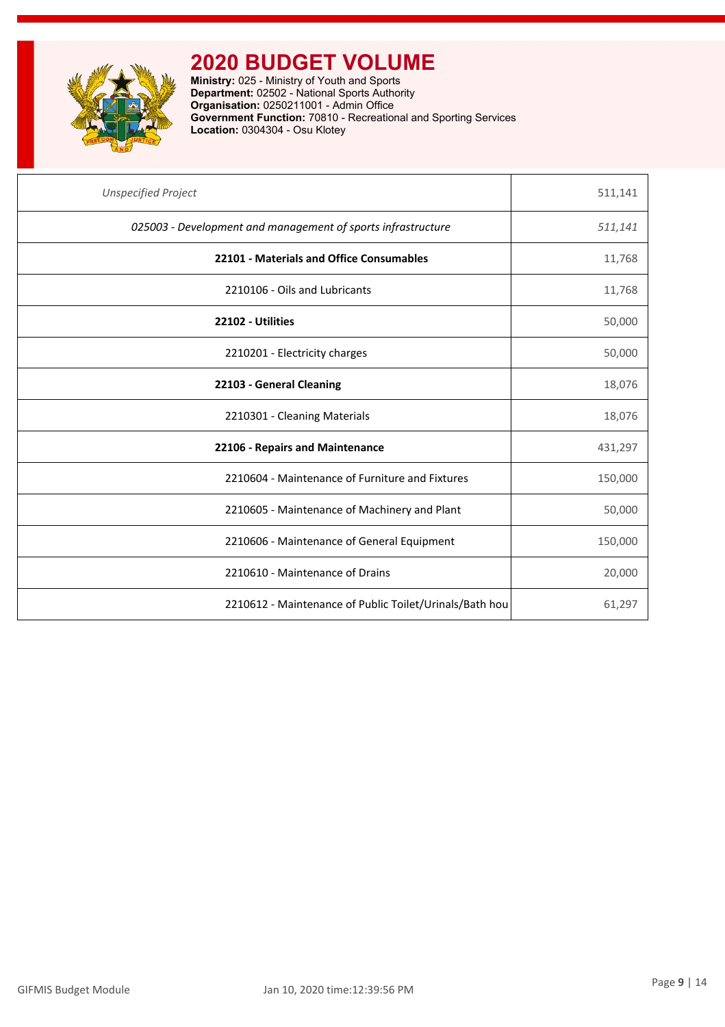

| <b>Unspecified Project</b>                                   | 511,141 |
|--------------------------------------------------------------|---------|
| 025003 - Development and management of sports infrastructure | 511,141 |
| 22101 - Materials and Office Consumables                     | 11,768  |
| 2210106 - Oils and Lubricants                                | 11,768  |
| 22102 - Utilities                                            | 50,000  |
| 2210201 - Electricity charges                                | 50,000  |
| 22103 - General Cleaning                                     | 18,076  |
| 2210301 - Cleaning Materials                                 | 18,076  |
| 22106 - Repairs and Maintenance                              | 431,297 |
| 2210604 - Maintenance of Furniture and Fixtures              | 150,000 |
| 2210605 - Maintenance of Machinery and Plant                 | 50,000  |
| 2210606 - Maintenance of General Equipment                   | 150,000 |
| 2210610 - Maintenance of Drains                              | 20,000  |
| 2210612 - Maintenance of Public Toilet/Urinals/Bath hou      | 61,297  |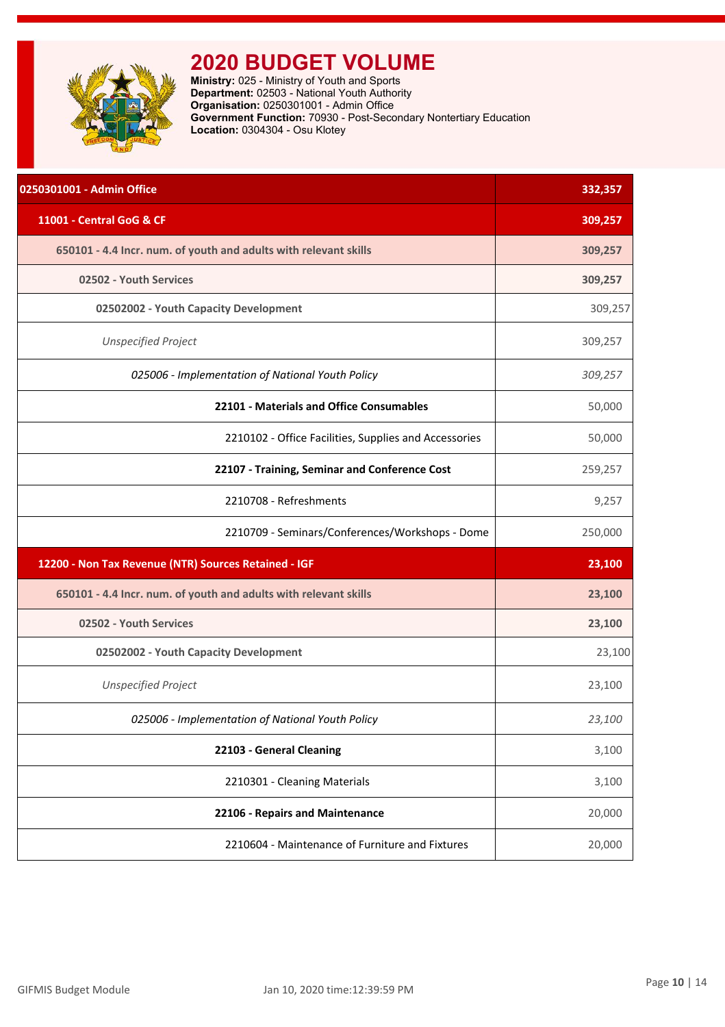<span id="page-10-0"></span>

**Ministry:** 025 - Ministry of Youth and Sports **Department:** 02503 - National Youth Authority **Organisation:** 0250301001 - Admin Office **Government Function:** 70930 - Post-Secondary Nontertiary Education **Location:** 0304304 - Osu Klotey

| 0250301001 - Admin Office                                        | 332,357 |
|------------------------------------------------------------------|---------|
| 11001 - Central GoG & CF                                         | 309,257 |
| 650101 - 4.4 Incr. num. of youth and adults with relevant skills | 309,257 |
| 02502 - Youth Services                                           | 309,257 |
| 02502002 - Youth Capacity Development                            | 309,257 |
| <b>Unspecified Project</b>                                       | 309,257 |
| 025006 - Implementation of National Youth Policy                 | 309,257 |
| 22101 - Materials and Office Consumables                         | 50,000  |
| 2210102 - Office Facilities, Supplies and Accessories            | 50,000  |
| 22107 - Training, Seminar and Conference Cost                    | 259,257 |
| 2210708 - Refreshments                                           | 9,257   |
| 2210709 - Seminars/Conferences/Workshops - Dome                  | 250,000 |
| 12200 - Non Tax Revenue (NTR) Sources Retained - IGF             | 23,100  |
| 650101 - 4.4 Incr. num. of youth and adults with relevant skills | 23,100  |
| 02502 - Youth Services                                           | 23,100  |
| 02502002 - Youth Capacity Development                            | 23,100  |
| <b>Unspecified Project</b>                                       | 23,100  |
| 025006 - Implementation of National Youth Policy                 | 23,100  |
| 22103 - General Cleaning                                         | 3,100   |
| 2210301 - Cleaning Materials                                     | 3,100   |
| 22106 - Repairs and Maintenance                                  | 20,000  |
| 2210604 - Maintenance of Furniture and Fixtures                  | 20,000  |
|                                                                  |         |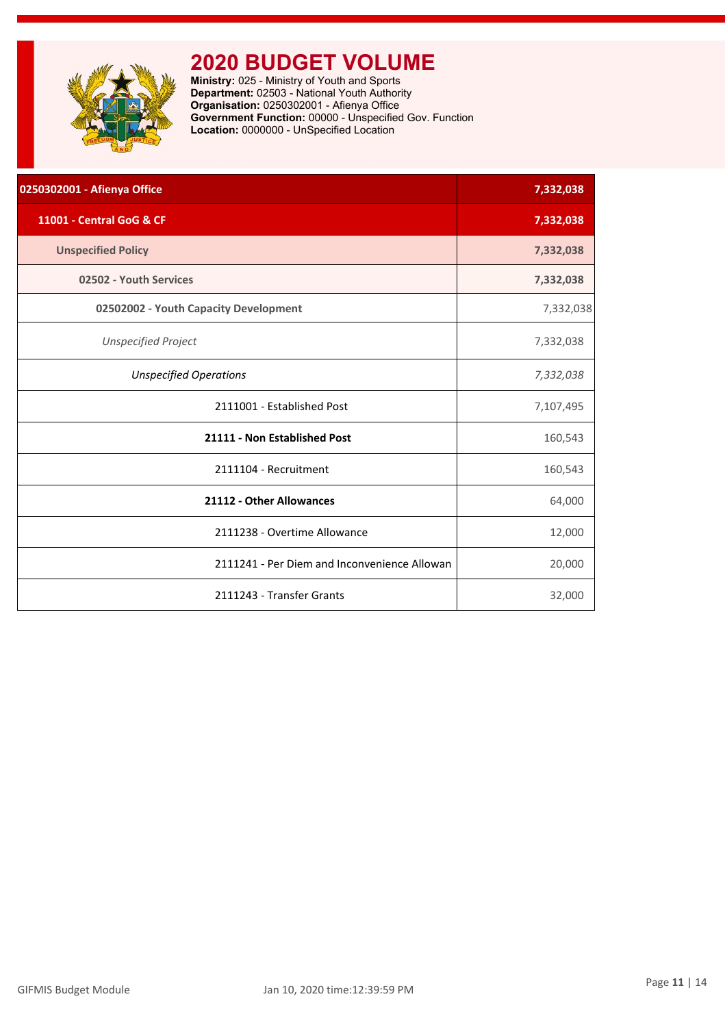<span id="page-11-0"></span>

**Ministry:** 025 - Ministry of Youth and Sports **Department:** 02503 - National Youth Authority **Organisation:** 0250302001 - Afienya Office **Government Function:** 00000 - Unspecified Gov. Function **Location:** 0000000 - UnSpecified Location

| 0250302001 - Afienya Office                  | 7,332,038 |
|----------------------------------------------|-----------|
| 11001 - Central GoG & CF                     | 7,332,038 |
| <b>Unspecified Policy</b>                    | 7,332,038 |
| 02502 - Youth Services                       | 7,332,038 |
| 02502002 - Youth Capacity Development        | 7,332,038 |
| <b>Unspecified Project</b>                   | 7,332,038 |
| <b>Unspecified Operations</b>                | 7,332,038 |
| 2111001 - Established Post                   | 7,107,495 |
| 21111 - Non Established Post                 | 160,543   |
| 2111104 - Recruitment                        | 160,543   |
| 21112 - Other Allowances                     | 64,000    |
| 2111238 - Overtime Allowance                 | 12,000    |
| 2111241 - Per Diem and Inconvenience Allowan | 20,000    |
| 2111243 - Transfer Grants                    | 32,000    |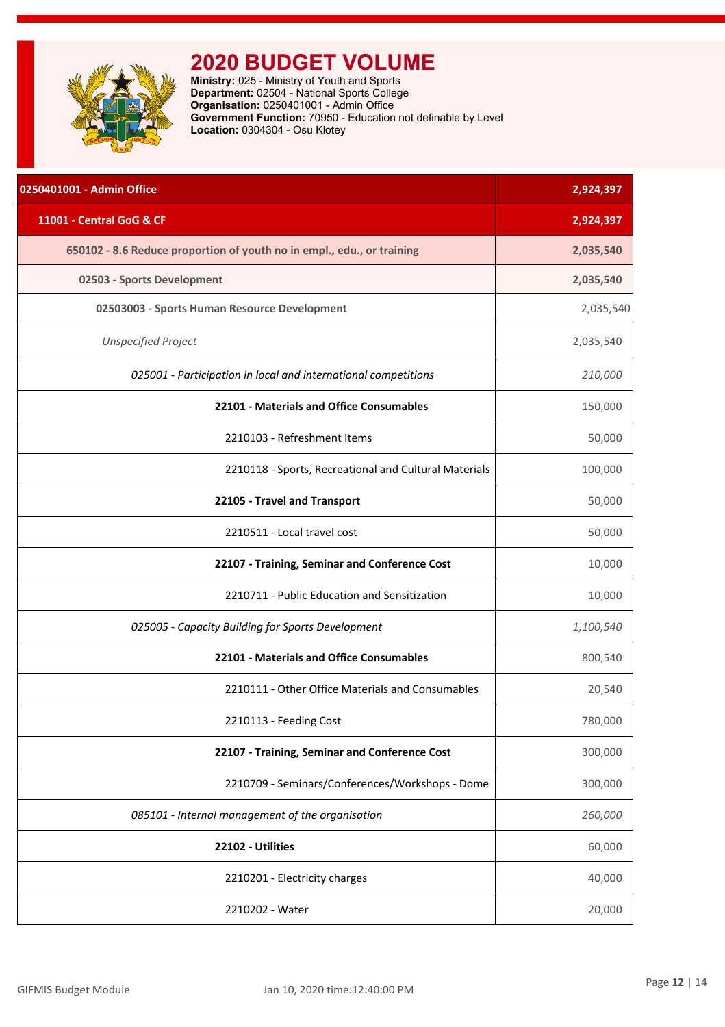<span id="page-12-0"></span>

**Ministry:** 025 - Ministry of Youth and Sports **Department:** 02504 - National Sports College **Organisation:** 0250401001 - Admin Office **Government Function:** 70950 - Education not definable by Level **Location:** 0304304 - Osu Klotey

| 0250401001 - Admin Office                                              | 2,924,397 |
|------------------------------------------------------------------------|-----------|
| 11001 - Central GoG & CF                                               | 2,924,397 |
| 650102 - 8.6 Reduce proportion of youth no in empl., edu., or training | 2,035,540 |
| 02503 - Sports Development                                             | 2,035,540 |
| 02503003 - Sports Human Resource Development                           | 2,035,540 |
| <b>Unspecified Project</b>                                             | 2,035,540 |
| 025001 - Participation in local and international competitions         | 210,000   |
| 22101 - Materials and Office Consumables                               | 150,000   |
| 2210103 - Refreshment Items                                            | 50,000    |
| 2210118 - Sports, Recreational and Cultural Materials                  | 100,000   |
| 22105 - Travel and Transport                                           | 50,000    |
| 2210511 - Local travel cost                                            | 50,000    |
| 22107 - Training, Seminar and Conference Cost                          | 10,000    |
| 2210711 - Public Education and Sensitization                           | 10,000    |
| 025005 - Capacity Building for Sports Development                      | 1,100,540 |
| 22101 - Materials and Office Consumables                               | 800,540   |
| 2210111 - Other Office Materials and Consumables                       | 20,540    |
| 2210113 - Feeding Cost                                                 | 780,000   |
| 22107 - Training, Seminar and Conference Cost                          | 300,000   |
| 2210709 - Seminars/Conferences/Workshops - Dome                        | 300,000   |
| 085101 - Internal management of the organisation                       | 260,000   |
| 22102 - Utilities                                                      | 60,000    |
| 2210201 - Electricity charges                                          | 40,000    |
| 2210202 - Water                                                        | 20,000    |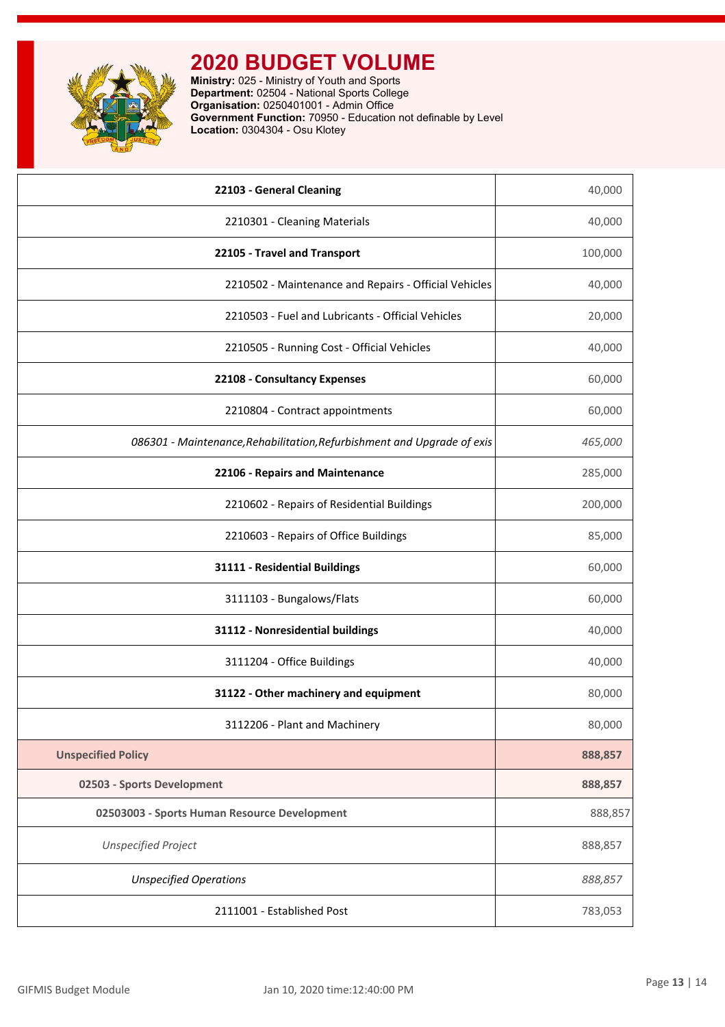

**Ministry:** 025 - Ministry of Youth and Sports **Department:** 02504 - National Sports College **Organisation:** 0250401001 - Admin Office **Government Function:** 70950 - Education not definable by Level **Location:** 0304304 - Osu Klotey

| 22103 - General Cleaning                                                | 40,000  |
|-------------------------------------------------------------------------|---------|
| 2210301 - Cleaning Materials                                            | 40,000  |
| 22105 - Travel and Transport                                            | 100,000 |
| 2210502 - Maintenance and Repairs - Official Vehicles                   | 40,000  |
| 2210503 - Fuel and Lubricants - Official Vehicles                       | 20,000  |
| 2210505 - Running Cost - Official Vehicles                              | 40,000  |
| 22108 - Consultancy Expenses                                            | 60,000  |
| 2210804 - Contract appointments                                         | 60,000  |
| 086301 - Maintenance, Rehabilitation, Refurbishment and Upgrade of exis | 465,000 |
| 22106 - Repairs and Maintenance                                         | 285,000 |
| 2210602 - Repairs of Residential Buildings                              | 200,000 |
| 2210603 - Repairs of Office Buildings                                   | 85,000  |
| 31111 - Residential Buildings                                           | 60,000  |
| 3111103 - Bungalows/Flats                                               | 60,000  |
| 31112 - Nonresidential buildings                                        | 40,000  |
| 3111204 - Office Buildings                                              | 40,000  |
| 31122 - Other machinery and equipment                                   | 80,000  |
| 3112206 - Plant and Machinery                                           | 80,000  |
| <b>Unspecified Policy</b>                                               | 888,857 |
| 02503 - Sports Development                                              | 888,857 |
| 02503003 - Sports Human Resource Development                            | 888,857 |
| <b>Unspecified Project</b>                                              | 888,857 |
| <b>Unspecified Operations</b>                                           | 888,857 |
| 2111001 - Established Post                                              | 783,053 |